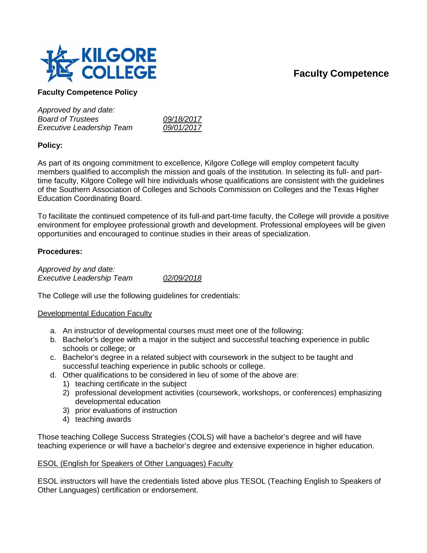# **Faculty Competence**



# **Faculty Competence Policy**

*Approved by and date: Board of Trustees 09/18/2017 Executive Leadership Team 09/01/2017*

# **Policy:**

As part of its ongoing commitment to excellence, Kilgore College will employ competent faculty members qualified to accomplish the mission and goals of the institution. In selecting its full- and parttime faculty, Kilgore College will hire individuals whose qualifications are consistent with the guidelines of the Southern Association of Colleges and Schools Commission on Colleges and the Texas Higher Education Coordinating Board.

To facilitate the continued competence of its full-and part-time faculty, the College will provide a positive environment for employee professional growth and development. Professional employees will be given opportunities and encouraged to continue studies in their areas of specialization.

# **Procedures:**

*Approved by and date: Executive Leadership Team 02/09/2018*

The College will use the following guidelines for credentials:

## Developmental Education Faculty

- a. An instructor of developmental courses must meet one of the following:
- b. Bachelor's degree with a major in the subject and successful teaching experience in public schools or college; or
- c. Bachelor's degree in a related subject with coursework in the subject to be taught and successful teaching experience in public schools or college.
- d. Other qualifications to be considered in lieu of some of the above are:
	- 1) teaching certificate in the subject
	- 2) professional development activities (coursework, workshops, or conferences) emphasizing developmental education
	- 3) prior evaluations of instruction
	- 4) teaching awards

Those teaching College Success Strategies (COLS) will have a bachelor's degree and will have teaching experience or will have a bachelor's degree and extensive experience in higher education.

## ESOL (English for Speakers of Other Languages) Faculty

ESOL instructors will have the credentials listed above plus TESOL (Teaching English to Speakers of Other Languages) certification or endorsement.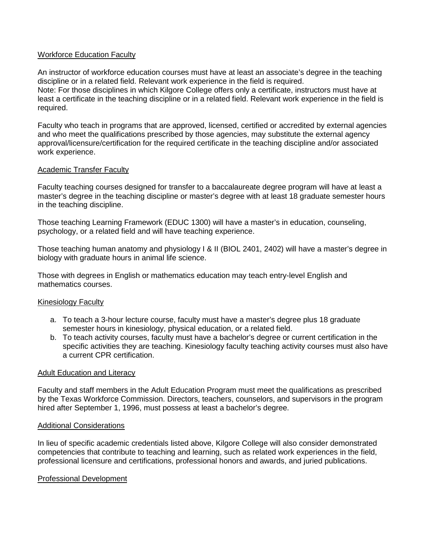## Workforce Education Faculty

An instructor of workforce education courses must have at least an associate's degree in the teaching discipline or in a related field. Relevant work experience in the field is required. Note: For those disciplines in which Kilgore College offers only a certificate, instructors must have at least a certificate in the teaching discipline or in a related field. Relevant work experience in the field is required.

Faculty who teach in programs that are approved, licensed, certified or accredited by external agencies and who meet the qualifications prescribed by those agencies, may substitute the external agency approval/licensure/certification for the required certificate in the teaching discipline and/or associated work experience.

### Academic Transfer Faculty

Faculty teaching courses designed for transfer to a baccalaureate degree program will have at least a master's degree in the teaching discipline or master's degree with at least 18 graduate semester hours in the teaching discipline.

Those teaching Learning Framework (EDUC 1300) will have a master's in education, counseling, psychology, or a related field and will have teaching experience.

Those teaching human anatomy and physiology I & II (BIOL 2401, 2402) will have a master's degree in biology with graduate hours in animal life science.

Those with degrees in English or mathematics education may teach entry-level English and mathematics courses.

#### Kinesiology Faculty

- a. To teach a 3-hour lecture course, faculty must have a master's degree plus 18 graduate semester hours in kinesiology, physical education, or a related field.
- b. To teach activity courses, faculty must have a bachelor's degree or current certification in the specific activities they are teaching. Kinesiology faculty teaching activity courses must also have a current CPR certification.

#### Adult Education and Literacy

Faculty and staff members in the Adult Education Program must meet the qualifications as prescribed by the Texas Workforce Commission. Directors, teachers, counselors, and supervisors in the program hired after September 1, 1996, must possess at least a bachelor's degree.

#### Additional Considerations

In lieu of specific academic credentials listed above, Kilgore College will also consider demonstrated competencies that contribute to teaching and learning, such as related work experiences in the field, professional licensure and certifications, professional honors and awards, and juried publications.

#### Professional Development